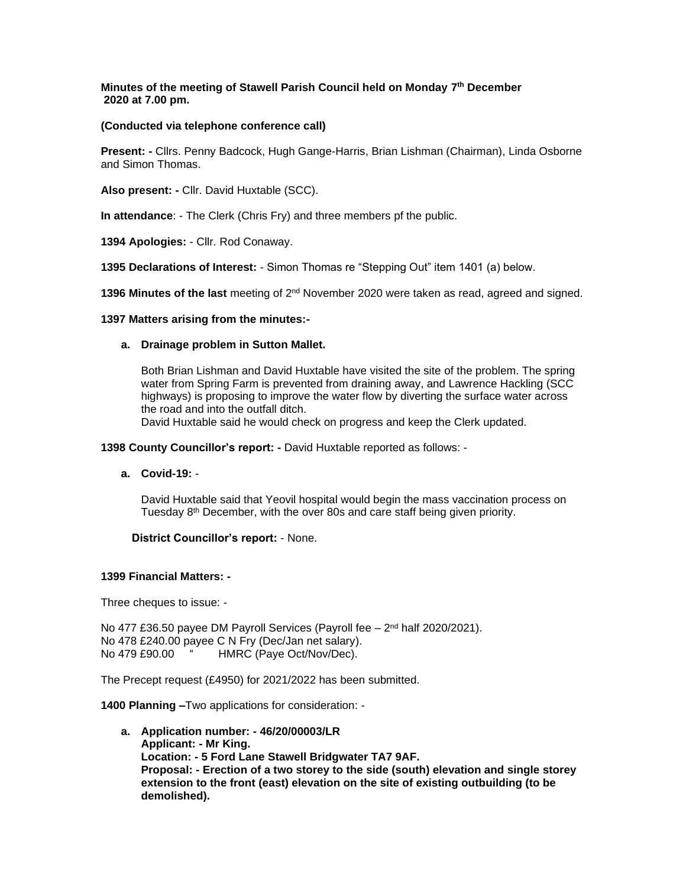## **Minutes of the meeting of Stawell Parish Council held on Monday 7 th December 2020 at 7.00 pm.**

## **(Conducted via telephone conference call)**

**Present: -** Cllrs. Penny Badcock, Hugh Gange-Harris, Brian Lishman (Chairman), Linda Osborne and Simon Thomas.

**Also present: -** Cllr. David Huxtable (SCC).

**In attendance**: - The Clerk (Chris Fry) and three members pf the public.

**1394 Apologies:** - Cllr. Rod Conaway.

**1395 Declarations of Interest:** - Simon Thomas re "Stepping Out" item 1401 (a) below.

1396 Minutes of the last meeting of 2<sup>nd</sup> November 2020 were taken as read, agreed and signed.

### **1397 Matters arising from the minutes:-**

### **a. Drainage problem in Sutton Mallet.**

Both Brian Lishman and David Huxtable have visited the site of the problem. The spring water from Spring Farm is prevented from draining away, and Lawrence Hackling (SCC highways) is proposing to improve the water flow by diverting the surface water across the road and into the outfall ditch.

David Huxtable said he would check on progress and keep the Clerk updated.

**1398 County Councillor's report: -** David Huxtable reported as follows: -

**a. Covid-19:** -

David Huxtable said that Yeovil hospital would begin the mass vaccination process on Tuesday 8th December, with the over 80s and care staff being given priority.

### **District Councillor's report:** - None.

### **1399 Financial Matters: -**

Three cheques to issue: -

No 477 £36.50 payee DM Payroll Services (Payroll fee - 2<sup>nd</sup> half 2020/2021). No 478 £240.00 payee C N Fry (Dec/Jan net salary). No 479 £90.00 " HMRC (Paye Oct/Nov/Dec).

The Precept request (£4950) for 2021/2022 has been submitted.

**1400 Planning –**Two applications for consideration: -

**a. Application number: - 46/20/00003/LR Applicant: - Mr King. Location: - 5 Ford Lane Stawell Bridgwater TA7 9AF. Proposal: - Erection of a two storey to the side (south) elevation and single storey extension to the front (east) elevation on the site of existing outbuilding (to be demolished).**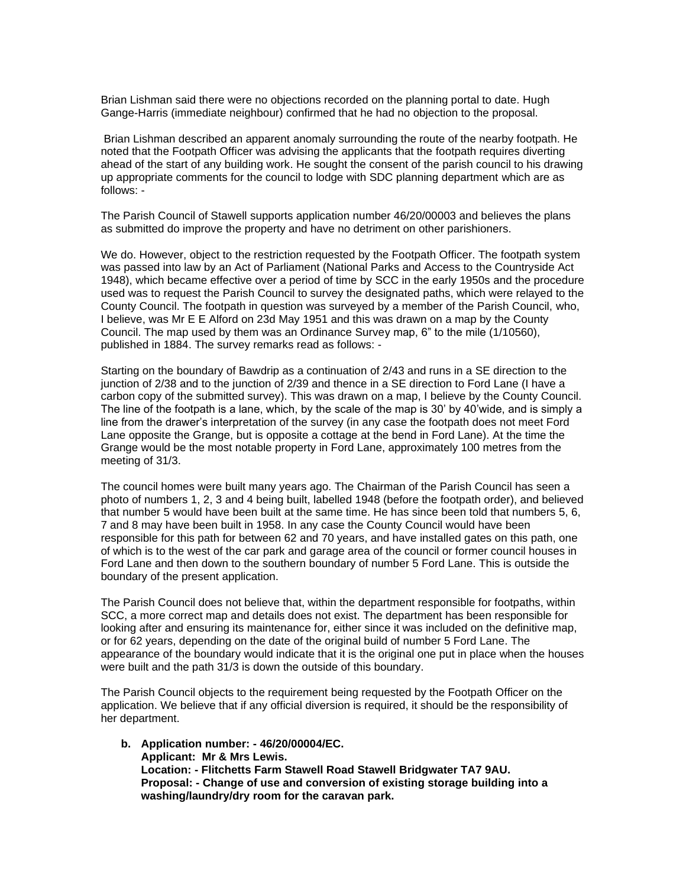Brian Lishman said there were no objections recorded on the planning portal to date. Hugh Gange-Harris (immediate neighbour) confirmed that he had no objection to the proposal.

Brian Lishman described an apparent anomaly surrounding the route of the nearby footpath. He noted that the Footpath Officer was advising the applicants that the footpath requires diverting ahead of the start of any building work. He sought the consent of the parish council to his drawing up appropriate comments for the council to lodge with SDC planning department which are as follows: -

The Parish Council of Stawell supports application number 46/20/00003 and believes the plans as submitted do improve the property and have no detriment on other parishioners.

We do. However, object to the restriction requested by the Footpath Officer. The footpath system was passed into law by an Act of Parliament (National Parks and Access to the Countryside Act 1948), which became effective over a period of time by SCC in the early 1950s and the procedure used was to request the Parish Council to survey the designated paths, which were relayed to the County Council. The footpath in question was surveyed by a member of the Parish Council, who, I believe, was Mr E E Alford on 23d May 1951 and this was drawn on a map by the County Council. The map used by them was an Ordinance Survey map, 6" to the mile (1/10560), published in 1884. The survey remarks read as follows: -

Starting on the boundary of Bawdrip as a continuation of 2/43 and runs in a SE direction to the junction of 2/38 and to the junction of 2/39 and thence in a SE direction to Ford Lane (I have a carbon copy of the submitted survey). This was drawn on a map, I believe by the County Council. The line of the footpath is a lane, which, by the scale of the map is 30' by 40'wide, and is simply a line from the drawer's interpretation of the survey (in any case the footpath does not meet Ford Lane opposite the Grange, but is opposite a cottage at the bend in Ford Lane). At the time the Grange would be the most notable property in Ford Lane, approximately 100 metres from the meeting of 31/3.

The council homes were built many years ago. The Chairman of the Parish Council has seen a photo of numbers 1, 2, 3 and 4 being built, labelled 1948 (before the footpath order), and believed that number 5 would have been built at the same time. He has since been told that numbers 5, 6, 7 and 8 may have been built in 1958. In any case the County Council would have been responsible for this path for between 62 and 70 years, and have installed gates on this path, one of which is to the west of the car park and garage area of the council or former council houses in Ford Lane and then down to the southern boundary of number 5 Ford Lane. This is outside the boundary of the present application.

The Parish Council does not believe that, within the department responsible for footpaths, within SCC, a more correct map and details does not exist. The department has been responsible for looking after and ensuring its maintenance for, either since it was included on the definitive map, or for 62 years, depending on the date of the original build of number 5 Ford Lane. The appearance of the boundary would indicate that it is the original one put in place when the houses were built and the path 31/3 is down the outside of this boundary.

The Parish Council objects to the requirement being requested by the Footpath Officer on the application. We believe that if any official diversion is required, it should be the responsibility of her department.

**b. Application number: - 46/20/00004/EC. Applicant: Mr & Mrs Lewis. Location: - Flitchetts Farm Stawell Road Stawell Bridgwater TA7 9AU. Proposal: - Change of use and conversion of existing storage building into a washing/laundry/dry room for the caravan park.**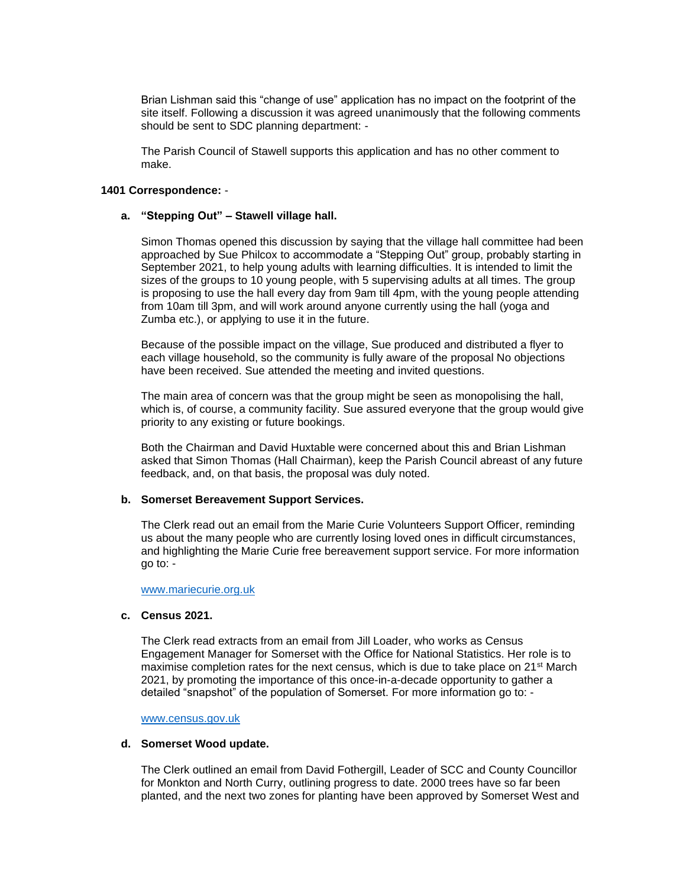Brian Lishman said this "change of use" application has no impact on the footprint of the site itself. Following a discussion it was agreed unanimously that the following comments should be sent to SDC planning department: -

The Parish Council of Stawell supports this application and has no other comment to make.

### **1401 Correspondence:** -

### **a. "Stepping Out" – Stawell village hall.**

Simon Thomas opened this discussion by saying that the village hall committee had been approached by Sue Philcox to accommodate a "Stepping Out" group, probably starting in September 2021, to help young adults with learning difficulties. It is intended to limit the sizes of the groups to 10 young people, with 5 supervising adults at all times. The group is proposing to use the hall every day from 9am till 4pm, with the young people attending from 10am till 3pm, and will work around anyone currently using the hall (yoga and Zumba etc.), or applying to use it in the future.

Because of the possible impact on the village, Sue produced and distributed a flyer to each village household, so the community is fully aware of the proposal No objections have been received. Sue attended the meeting and invited questions.

The main area of concern was that the group might be seen as monopolising the hall, which is, of course, a community facility. Sue assured everyone that the group would give priority to any existing or future bookings.

Both the Chairman and David Huxtable were concerned about this and Brian Lishman asked that Simon Thomas (Hall Chairman), keep the Parish Council abreast of any future feedback, and, on that basis, the proposal was duly noted.

## **b. Somerset Bereavement Support Services.**

The Clerk read out an email from the Marie Curie Volunteers Support Officer, reminding us about the many people who are currently losing loved ones in difficult circumstances, and highlighting the Marie Curie free bereavement support service. For more information go to: -

#### [www.mariecurie.org.uk](http://www.mariecurie.org.uk/)

### **c. Census 2021.**

The Clerk read extracts from an email from Jill Loader, who works as Census Engagement Manager for Somerset with the Office for National Statistics. Her role is to maximise completion rates for the next census, which is due to take place on  $21^{st}$  March 2021, by promoting the importance of this once-in-a-decade opportunity to gather a detailed "snapshot" of the population of Somerset. For more information go to: -

#### [www.census.gov.uk](http://www.census.gov.uk/)

#### **d. Somerset Wood update.**

The Clerk outlined an email from David Fothergill, Leader of SCC and County Councillor for Monkton and North Curry, outlining progress to date. 2000 trees have so far been planted, and the next two zones for planting have been approved by Somerset West and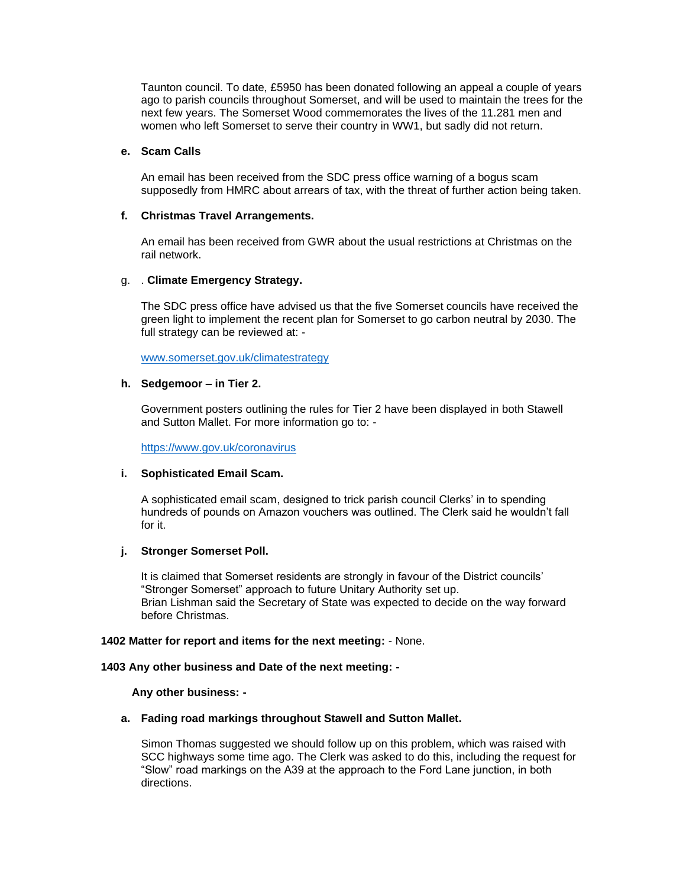Taunton council. To date, £5950 has been donated following an appeal a couple of years ago to parish councils throughout Somerset, and will be used to maintain the trees for the next few years. The Somerset Wood commemorates the lives of the 11.281 men and women who left Somerset to serve their country in WW1, but sadly did not return.

## **e. Scam Calls**

An email has been received from the SDC press office warning of a bogus scam supposedly from HMRC about arrears of tax, with the threat of further action being taken.

### **f. Christmas Travel Arrangements.**

An email has been received from GWR about the usual restrictions at Christmas on the rail network.

### g. . **Climate Emergency Strategy.**

The SDC press office have advised us that the five Somerset councils have received the green light to implement the recent plan for Somerset to go carbon neutral by 2030. The full strategy can be reviewed at: -

[www.somerset.gov.uk/climatestrategy](http://www.somerset.gov.uk/climatestrategy)

### **h. Sedgemoor – in Tier 2.**

Government posters outlining the rules for Tier 2 have been displayed in both Stawell and Sutton Mallet. For more information go to: -

<https://www.gov.uk/coronavirus>

### **i. Sophisticated Email Scam.**

A sophisticated email scam, designed to trick parish council Clerks' in to spending hundreds of pounds on Amazon vouchers was outlined. The Clerk said he wouldn't fall for it.

### **j. Stronger Somerset Poll.**

It is claimed that Somerset residents are strongly in favour of the District councils' "Stronger Somerset" approach to future Unitary Authority set up. Brian Lishman said the Secretary of State was expected to decide on the way forward before Christmas.

### **1402 Matter for report and items for the next meeting:** - None.

### **1403 Any other business and Date of the next meeting: -**

 **Any other business: -**

### **a. Fading road markings throughout Stawell and Sutton Mallet.**

Simon Thomas suggested we should follow up on this problem, which was raised with SCC highways some time ago. The Clerk was asked to do this, including the request for "Slow" road markings on the A39 at the approach to the Ford Lane junction, in both directions.